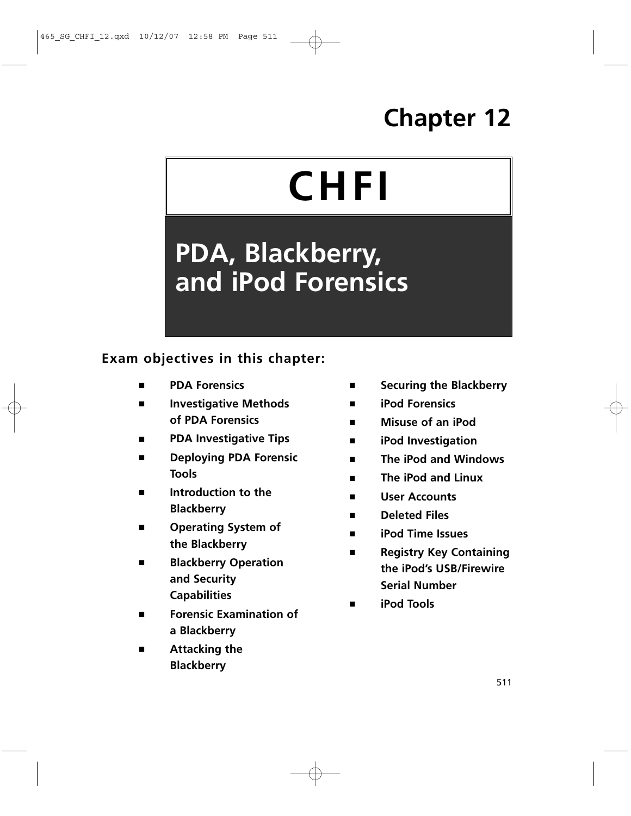# **Chapter 12**

# **CHFI**

# **PDA, Blackberry, and iPod Forensics**

**Exam objectives in this chapter:**

- **PDA Forensics**
- **Investigative Methods of PDA Forensics**
- **PDA Investigative Tips**
- **Deploying PDA Forensic Tools**
- **Introduction to the Blackberry**
- **Operating System of the Blackberry**
- **Blackberry Operation and Security Capabilities**
- **Forensic Examination of a Blackberry**
- **Attacking the Blackberry**
- **Securing the Blackberry**
- **iPod Forensics**
- **Misuse of an iPod**
- **iPod Investigation**
- **The iPod and Windows**
- **The iPod and Linux**
- **User Accounts**
- **Deleted Files**
- **iPod Time Issues**
- **Registry Key Containing the iPod's USB/Firewire Serial Number**
- **iPod Tools**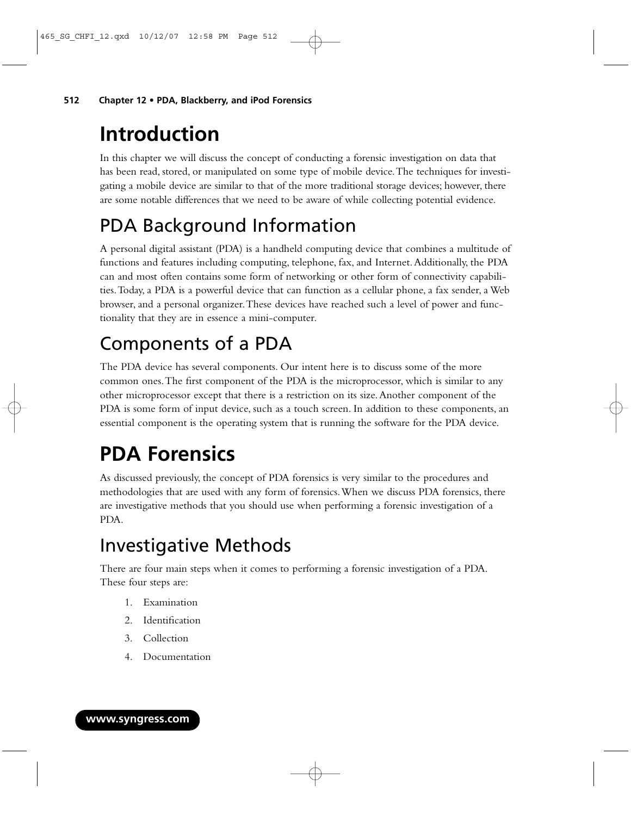# **Introduction**

In this chapter we will discuss the concept of conducting a forensic investigation on data that has been read, stored, or manipulated on some type of mobile device.The techniques for investigating a mobile device are similar to that of the more traditional storage devices; however, there are some notable differences that we need to be aware of while collecting potential evidence.

# PDA Background Information

A personal digital assistant (PDA) is a handheld computing device that combines a multitude of functions and features including computing, telephone, fax, and Internet.Additionally, the PDA can and most often contains some form of networking or other form of connectivity capabilities.Today, a PDA is a powerful device that can function as a cellular phone, a fax sender, a Web browser, and a personal organizer.These devices have reached such a level of power and functionality that they are in essence a mini-computer.

# Components of a PDA

The PDA device has several components. Our intent here is to discuss some of the more common ones.The first component of the PDA is the microprocessor, which is similar to any other microprocessor except that there is a restriction on its size.Another component of the PDA is some form of input device, such as a touch screen. In addition to these components, an essential component is the operating system that is running the software for the PDA device.

# **PDA Forensics**

As discussed previously, the concept of PDA forensics is very similar to the procedures and methodologies that are used with any form of forensics.When we discuss PDA forensics, there are investigative methods that you should use when performing a forensic investigation of a PDA.

# Investigative Methods

There are four main steps when it comes to performing a forensic investigation of a PDA. These four steps are:

- 1. Examination
- 2. Identification
- 3. Collection
- 4. Documentation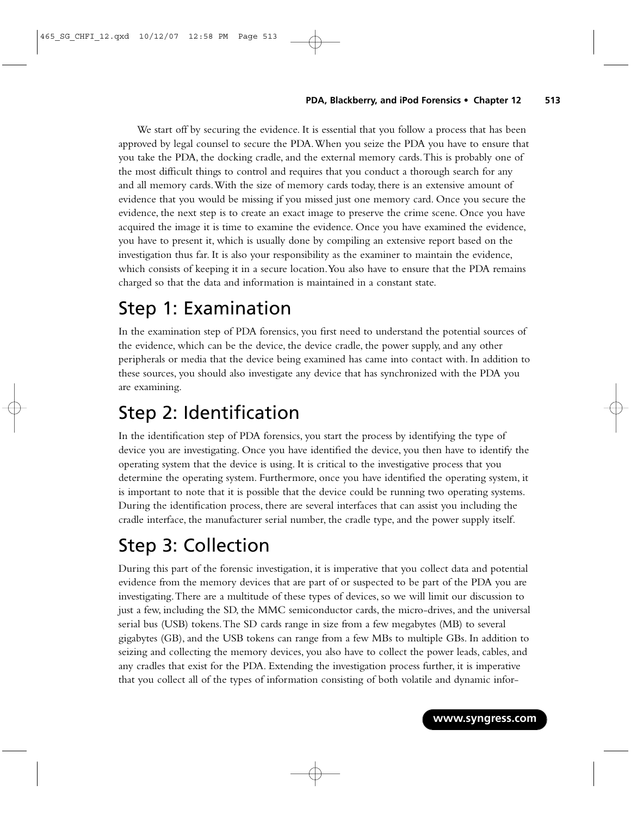We start off by securing the evidence. It is essential that you follow a process that has been approved by legal counsel to secure the PDA.When you seize the PDA you have to ensure that you take the PDA, the docking cradle, and the external memory cards.This is probably one of the most difficult things to control and requires that you conduct a thorough search for any and all memory cards.With the size of memory cards today, there is an extensive amount of evidence that you would be missing if you missed just one memory card. Once you secure the evidence, the next step is to create an exact image to preserve the crime scene. Once you have acquired the image it is time to examine the evidence. Once you have examined the evidence, you have to present it, which is usually done by compiling an extensive report based on the investigation thus far. It is also your responsibility as the examiner to maintain the evidence, which consists of keeping it in a secure location.You also have to ensure that the PDA remains charged so that the data and information is maintained in a constant state.

#### Step 1: Examination

In the examination step of PDA forensics, you first need to understand the potential sources of the evidence, which can be the device, the device cradle, the power supply, and any other peripherals or media that the device being examined has came into contact with. In addition to these sources, you should also investigate any device that has synchronized with the PDA you are examining.

#### Step 2: Identification

In the identification step of PDA forensics, you start the process by identifying the type of device you are investigating. Once you have identified the device, you then have to identify the operating system that the device is using. It is critical to the investigative process that you determine the operating system. Furthermore, once you have identified the operating system, it is important to note that it is possible that the device could be running two operating systems. During the identification process, there are several interfaces that can assist you including the cradle interface, the manufacturer serial number, the cradle type, and the power supply itself.

# Step 3: Collection

During this part of the forensic investigation, it is imperative that you collect data and potential evidence from the memory devices that are part of or suspected to be part of the PDA you are investigating.There are a multitude of these types of devices, so we will limit our discussion to just a few, including the SD, the MMC semiconductor cards, the micro-drives, and the universal serial bus (USB) tokens.The SD cards range in size from a few megabytes (MB) to several gigabytes (GB), and the USB tokens can range from a few MBs to multiple GBs. In addition to seizing and collecting the memory devices, you also have to collect the power leads, cables, and any cradles that exist for the PDA. Extending the investigation process further, it is imperative that you collect all of the types of information consisting of both volatile and dynamic infor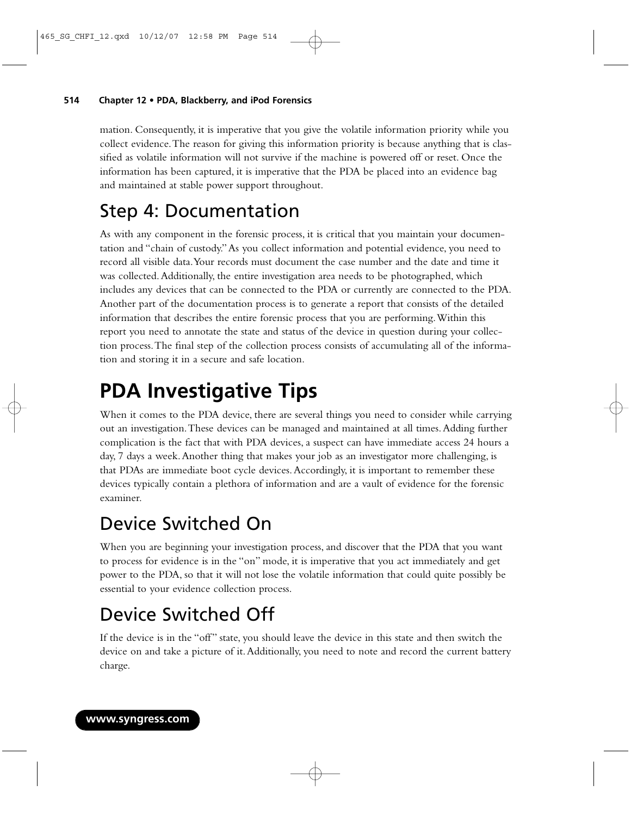mation. Consequently, it is imperative that you give the volatile information priority while you collect evidence.The reason for giving this information priority is because anything that is classified as volatile information will not survive if the machine is powered off or reset. Once the information has been captured, it is imperative that the PDA be placed into an evidence bag and maintained at stable power support throughout.

# Step 4: Documentation

As with any component in the forensic process, it is critical that you maintain your documentation and "chain of custody."As you collect information and potential evidence, you need to record all visible data.Your records must document the case number and the date and time it was collected.Additionally, the entire investigation area needs to be photographed, which includes any devices that can be connected to the PDA or currently are connected to the PDA. Another part of the documentation process is to generate a report that consists of the detailed information that describes the entire forensic process that you are performing.Within this report you need to annotate the state and status of the device in question during your collection process.The final step of the collection process consists of accumulating all of the information and storing it in a secure and safe location.

# **PDA Investigative Tips**

When it comes to the PDA device, there are several things you need to consider while carrying out an investigation.These devices can be managed and maintained at all times.Adding further complication is the fact that with PDA devices, a suspect can have immediate access 24 hours a day, 7 days a week.Another thing that makes your job as an investigator more challenging, is that PDAs are immediate boot cycle devices.Accordingly, it is important to remember these devices typically contain a plethora of information and are a vault of evidence for the forensic examiner.

# Device Switched On

When you are beginning your investigation process, and discover that the PDA that you want to process for evidence is in the "on" mode, it is imperative that you act immediately and get power to the PDA, so that it will not lose the volatile information that could quite possibly be essential to your evidence collection process.

# Device Switched Off

If the device is in the "off" state, you should leave the device in this state and then switch the device on and take a picture of it.Additionally, you need to note and record the current battery charge.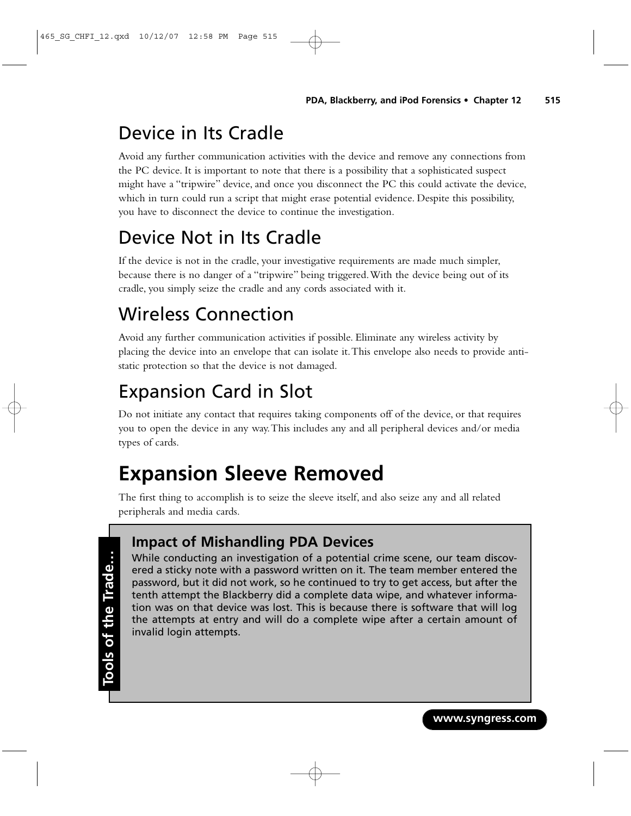# Device in Its Cradle

Avoid any further communication activities with the device and remove any connections from the PC device. It is important to note that there is a possibility that a sophisticated suspect might have a "tripwire" device, and once you disconnect the PC this could activate the device, which in turn could run a script that might erase potential evidence. Despite this possibility, you have to disconnect the device to continue the investigation.

# Device Not in Its Cradle

If the device is not in the cradle, your investigative requirements are made much simpler, because there is no danger of a "tripwire" being triggered.With the device being out of its cradle, you simply seize the cradle and any cords associated with it.

# Wireless Connection

Avoid any further communication activities if possible. Eliminate any wireless activity by placing the device into an envelope that can isolate it.This envelope also needs to provide antistatic protection so that the device is not damaged.

# Expansion Card in Slot

Do not initiate any contact that requires taking components off of the device, or that requires you to open the device in any way.This includes any and all peripheral devices and/or media types of cards.

# **Expansion Sleeve Removed**

The first thing to accomplish is to seize the sleeve itself, and also seize any and all related peripherals and media cards.

# Tools of the Trade... **Tools of the Trade…**

#### **Impact of Mishandling PDA Devices**

While conducting an investigation of a potential crime scene, our team discovered a sticky note with a password written on it. The team member entered the password, but it did not work, so he continued to try to get access, but after the tenth attempt the Blackberry did a complete data wipe, and whatever information was on that device was lost. This is because there is software that will log the attempts at entry and will do a complete wipe after a certain amount of invalid login attempts.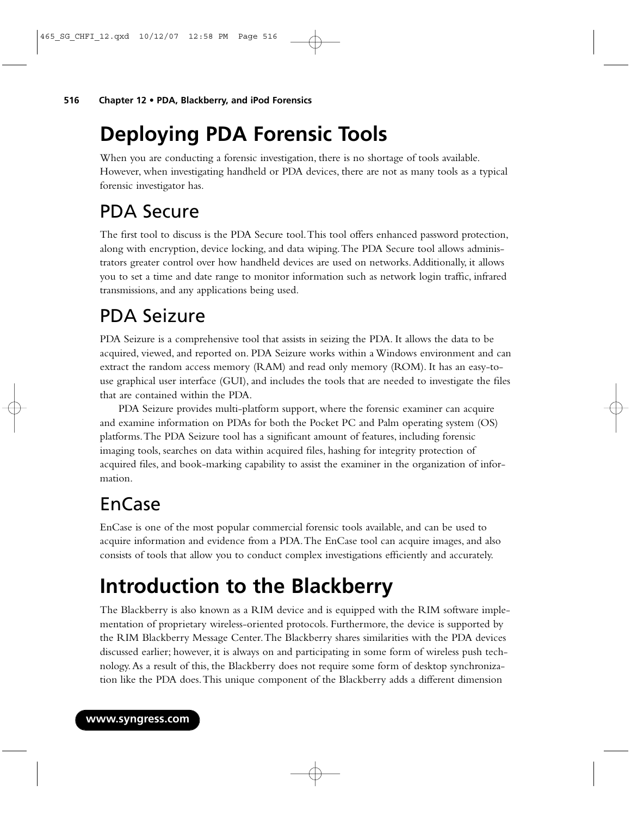# **Deploying PDA Forensic Tools**

When you are conducting a forensic investigation, there is no shortage of tools available. However, when investigating handheld or PDA devices, there are not as many tools as a typical forensic investigator has.

# PDA Secure

The first tool to discuss is the PDA Secure tool.This tool offers enhanced password protection, along with encryption, device locking, and data wiping.The PDA Secure tool allows administrators greater control over how handheld devices are used on networks.Additionally, it allows you to set a time and date range to monitor information such as network login traffic, infrared transmissions, and any applications being used.

# PDA Seizure

PDA Seizure is a comprehensive tool that assists in seizing the PDA. It allows the data to be acquired, viewed, and reported on. PDA Seizure works within a Windows environment and can extract the random access memory (RAM) and read only memory (ROM). It has an easy-touse graphical user interface (GUI), and includes the tools that are needed to investigate the files that are contained within the PDA.

PDA Seizure provides multi-platform support, where the forensic examiner can acquire and examine information on PDAs for both the Pocket PC and Palm operating system (OS) platforms.The PDA Seizure tool has a significant amount of features, including forensic imaging tools, searches on data within acquired files, hashing for integrity protection of acquired files, and book-marking capability to assist the examiner in the organization of information.

# EnCase

EnCase is one of the most popular commercial forensic tools available, and can be used to acquire information and evidence from a PDA.The EnCase tool can acquire images, and also consists of tools that allow you to conduct complex investigations efficiently and accurately.

# **Introduction to the Blackberry**

The Blackberry is also known as a RIM device and is equipped with the RIM software implementation of proprietary wireless-oriented protocols. Furthermore, the device is supported by the RIM Blackberry Message Center.The Blackberry shares similarities with the PDA devices discussed earlier; however, it is always on and participating in some form of wireless push technology.As a result of this, the Blackberry does not require some form of desktop synchronization like the PDA does.This unique component of the Blackberry adds a different dimension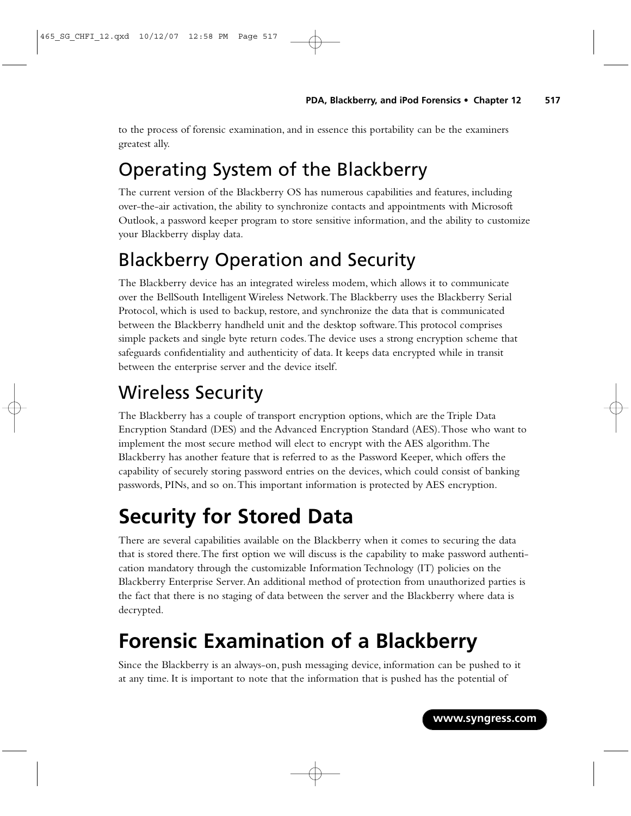to the process of forensic examination, and in essence this portability can be the examiners greatest ally.

# Operating System of the Blackberry

The current version of the Blackberry OS has numerous capabilities and features, including over-the-air activation, the ability to synchronize contacts and appointments with Microsoft Outlook, a password keeper program to store sensitive information, and the ability to customize your Blackberry display data.

# Blackberry Operation and Security

The Blackberry device has an integrated wireless modem, which allows it to communicate over the BellSouth Intelligent Wireless Network.The Blackberry uses the Blackberry Serial Protocol, which is used to backup, restore, and synchronize the data that is communicated between the Blackberry handheld unit and the desktop software.This protocol comprises simple packets and single byte return codes.The device uses a strong encryption scheme that safeguards confidentiality and authenticity of data. It keeps data encrypted while in transit between the enterprise server and the device itself.

# Wireless Security

The Blackberry has a couple of transport encryption options, which are the Triple Data Encryption Standard (DES) and the Advanced Encryption Standard (AES).Those who want to implement the most secure method will elect to encrypt with the AES algorithm.The Blackberry has another feature that is referred to as the Password Keeper, which offers the capability of securely storing password entries on the devices, which could consist of banking passwords, PINs, and so on.This important information is protected by AES encryption.

# **Security for Stored Data**

There are several capabilities available on the Blackberry when it comes to securing the data that is stored there.The first option we will discuss is the capability to make password authentication mandatory through the customizable Information Technology (IT) policies on the Blackberry Enterprise Server.An additional method of protection from unauthorized parties is the fact that there is no staging of data between the server and the Blackberry where data is decrypted.

# **Forensic Examination of a Blackberry**

Since the Blackberry is an always-on, push messaging device, information can be pushed to it at any time. It is important to note that the information that is pushed has the potential of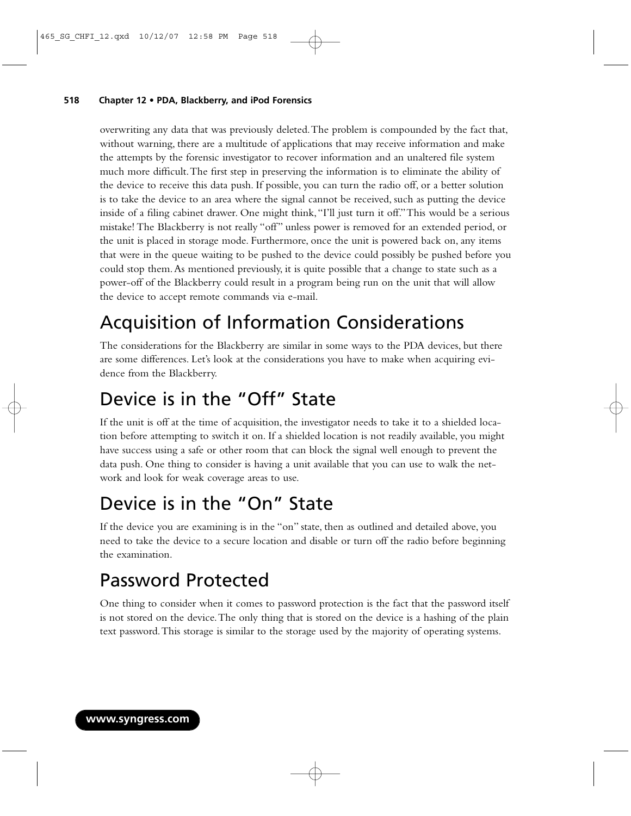overwriting any data that was previously deleted.The problem is compounded by the fact that, without warning, there are a multitude of applications that may receive information and make the attempts by the forensic investigator to recover information and an unaltered file system much more difficult.The first step in preserving the information is to eliminate the ability of the device to receive this data push. If possible, you can turn the radio off, or a better solution is to take the device to an area where the signal cannot be received, such as putting the device inside of a filing cabinet drawer. One might think,"I'll just turn it off."This would be a serious mistake! The Blackberry is not really "off" unless power is removed for an extended period, or the unit is placed in storage mode. Furthermore, once the unit is powered back on, any items that were in the queue waiting to be pushed to the device could possibly be pushed before you could stop them.As mentioned previously, it is quite possible that a change to state such as a power-off of the Blackberry could result in a program being run on the unit that will allow the device to accept remote commands via e-mail.

# Acquisition of Information Considerations

The considerations for the Blackberry are similar in some ways to the PDA devices, but there are some differences. Let's look at the considerations you have to make when acquiring evidence from the Blackberry.

# Device is in the "Off" State

If the unit is off at the time of acquisition, the investigator needs to take it to a shielded location before attempting to switch it on. If a shielded location is not readily available, you might have success using a safe or other room that can block the signal well enough to prevent the data push. One thing to consider is having a unit available that you can use to walk the network and look for weak coverage areas to use.

# Device is in the "On" State

If the device you are examining is in the "on" state, then as outlined and detailed above, you need to take the device to a secure location and disable or turn off the radio before beginning the examination.

# Password Protected

One thing to consider when it comes to password protection is the fact that the password itself is not stored on the device.The only thing that is stored on the device is a hashing of the plain text password.This storage is similar to the storage used by the majority of operating systems.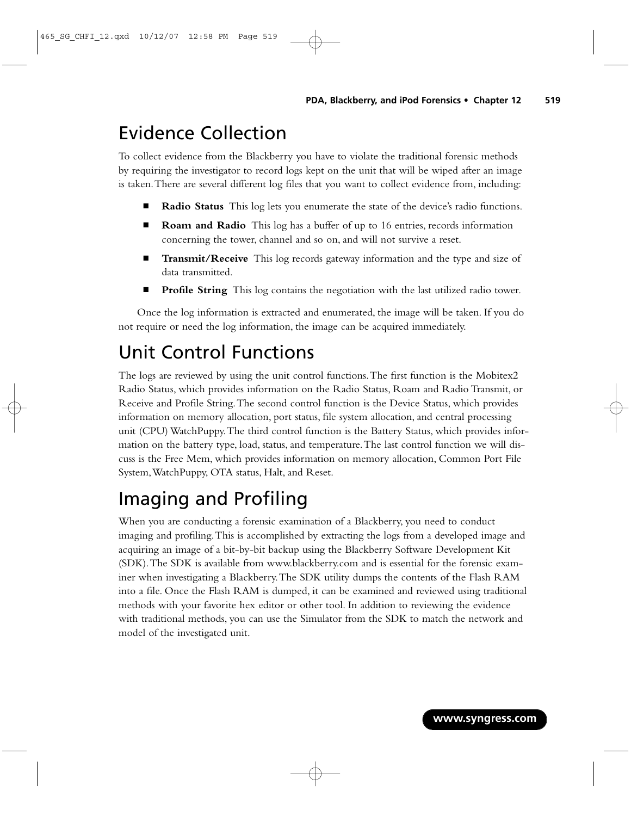# Evidence Collection

To collect evidence from the Blackberry you have to violate the traditional forensic methods by requiring the investigator to record logs kept on the unit that will be wiped after an image is taken.There are several different log files that you want to collect evidence from, including:

- **Radio Status** This log lets you enumerate the state of the device's radio functions.
- **Roam and Radio** This log has a buffer of up to 16 entries, records information concerning the tower, channel and so on, and will not survive a reset.
- **Transmit/Receive** This log records gateway information and the type and size of data transmitted.
- **Profile String** This log contains the negotiation with the last utilized radio tower.

Once the log information is extracted and enumerated, the image will be taken. If you do not require or need the log information, the image can be acquired immediately.

# Unit Control Functions

The logs are reviewed by using the unit control functions.The first function is the Mobitex2 Radio Status, which provides information on the Radio Status, Roam and Radio Transmit, or Receive and Profile String.The second control function is the Device Status, which provides information on memory allocation, port status, file system allocation, and central processing unit (CPU) WatchPuppy.The third control function is the Battery Status, which provides information on the battery type, load, status, and temperature.The last control function we will discuss is the Free Mem, which provides information on memory allocation, Common Port File System,WatchPuppy, OTA status, Halt, and Reset.

# Imaging and Profiling

When you are conducting a forensic examination of a Blackberry, you need to conduct imaging and profiling.This is accomplished by extracting the logs from a developed image and acquiring an image of a bit-by-bit backup using the Blackberry Software Development Kit (SDK).The SDK is available from www.blackberry.com and is essential for the forensic examiner when investigating a Blackberry.The SDK utility dumps the contents of the Flash RAM into a file. Once the Flash RAM is dumped, it can be examined and reviewed using traditional methods with your favorite hex editor or other tool. In addition to reviewing the evidence with traditional methods, you can use the Simulator from the SDK to match the network and model of the investigated unit.

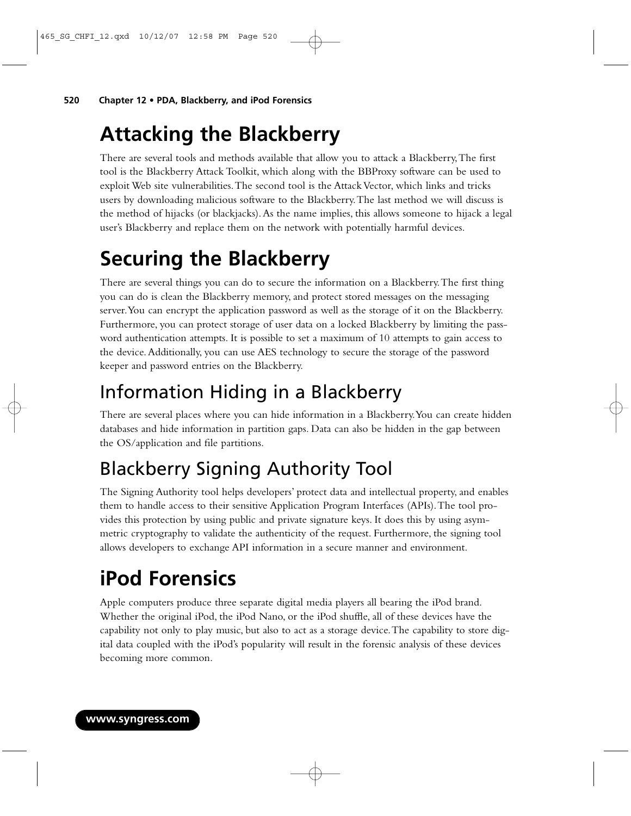# **Attacking the Blackberry**

There are several tools and methods available that allow you to attack a Blackberry,The first tool is the Blackberry Attack Toolkit, which along with the BBProxy software can be used to exploit Web site vulnerabilities.The second tool is the Attack Vector, which links and tricks users by downloading malicious software to the Blackberry.The last method we will discuss is the method of hijacks (or blackjacks).As the name implies, this allows someone to hijack a legal user's Blackberry and replace them on the network with potentially harmful devices.

# **Securing the Blackberry**

There are several things you can do to secure the information on a Blackberry.The first thing you can do is clean the Blackberry memory, and protect stored messages on the messaging server.You can encrypt the application password as well as the storage of it on the Blackberry. Furthermore, you can protect storage of user data on a locked Blackberry by limiting the password authentication attempts. It is possible to set a maximum of 10 attempts to gain access to the device.Additionally, you can use AES technology to secure the storage of the password keeper and password entries on the Blackberry.

# Information Hiding in a Blackberry

There are several places where you can hide information in a Blackberry.You can create hidden databases and hide information in partition gaps. Data can also be hidden in the gap between the OS/application and file partitions.

# Blackberry Signing Authority Tool

The Signing Authority tool helps developers' protect data and intellectual property, and enables them to handle access to their sensitive Application Program Interfaces (APIs).The tool provides this protection by using public and private signature keys. It does this by using asymmetric cryptography to validate the authenticity of the request. Furthermore, the signing tool allows developers to exchange API information in a secure manner and environment.

# **iPod Forensics**

Apple computers produce three separate digital media players all bearing the iPod brand. Whether the original iPod, the iPod Nano, or the iPod shuffle, all of these devices have the capability not only to play music, but also to act as a storage device.The capability to store digital data coupled with the iPod's popularity will result in the forensic analysis of these devices becoming more common.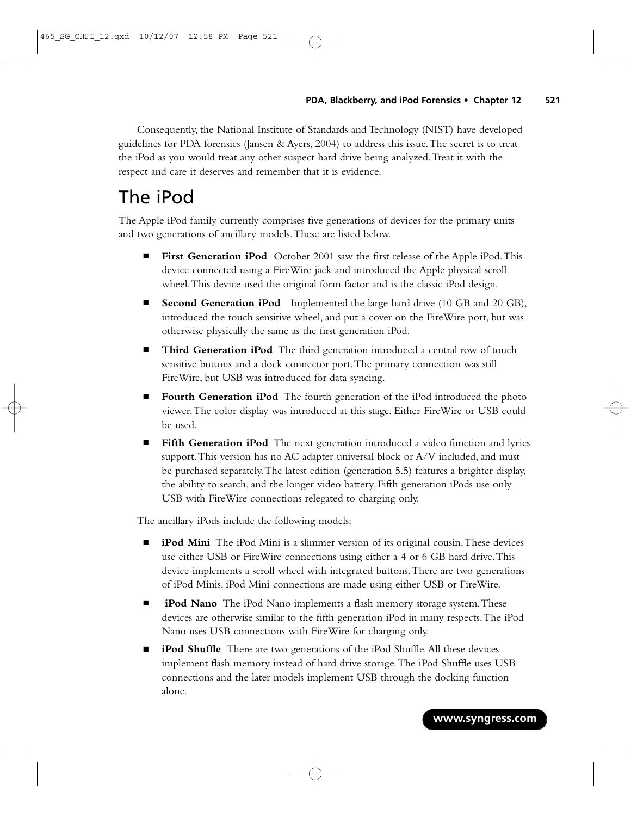Consequently, the National Institute of Standards and Technology (NIST) have developed guidelines for PDA forensics (Jansen & Ayers, 2004) to address this issue.The secret is to treat the iPod as you would treat any other suspect hard drive being analyzed.Treat it with the respect and care it deserves and remember that it is evidence.

# The iPod

The Apple iPod family currently comprises five generations of devices for the primary units and two generations of ancillary models.These are listed below.

- First Generation iPod October 2001 saw the first release of the Apple iPod. This device connected using a FireWire jack and introduced the Apple physical scroll wheel.This device used the original form factor and is the classic iPod design.
- **Second Generation iPod** Implemented the large hard drive (10 GB and 20 GB), introduced the touch sensitive wheel, and put a cover on the FireWire port, but was otherwise physically the same as the first generation iPod.
- **Third Generation iPod** The third generation introduced a central row of touch sensitive buttons and a dock connector port.The primary connection was still FireWire, but USB was introduced for data syncing.
- **Fourth Generation iPod** The fourth generation of the iPod introduced the photo viewer.The color display was introduced at this stage. Either FireWire or USB could be used.
- **Fifth Generation iPod** The next generation introduced a video function and lyrics support. This version has no AC adapter universal block or A/V included, and must be purchased separately.The latest edition (generation 5.5) features a brighter display, the ability to search, and the longer video battery. Fifth generation iPods use only USB with FireWire connections relegated to charging only.

The ancillary iPods include the following models:

- **iPod Mini** The iPod Mini is a slimmer version of its original cousin. These devices use either USB or FireWire connections using either a 4 or 6 GB hard drive.This device implements a scroll wheel with integrated buttons.There are two generations of iPod Minis. iPod Mini connections are made using either USB or FireWire.
- **iPod Nano** The iPod Nano implements a flash memory storage system. These devices are otherwise similar to the fifth generation iPod in many respects.The iPod Nano uses USB connections with FireWire for charging only.
- **iPod Shuffle** There are two generations of the iPod Shuffle. All these devices implement flash memory instead of hard drive storage.The iPod Shuffle uses USB connections and the later models implement USB through the docking function alone.

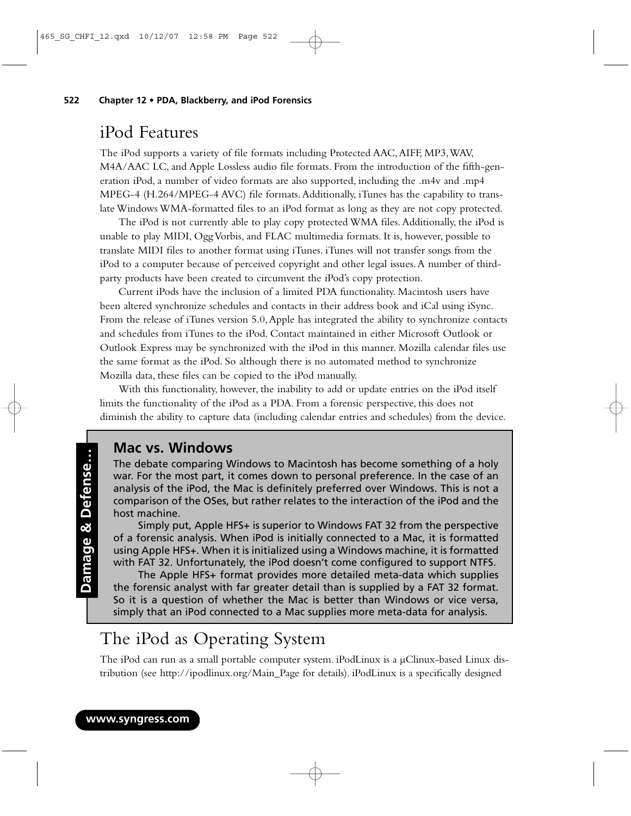#### iPod Features

The iPod supports a variety of file formats including Protected AAC,AIFF, MP3,WAV, M4A/AAC LC, and Apple Lossless audio file formats. From the introduction of the fifth-generation iPod, a number of video formats are also supported, including the .m4v and .mp4 MPEG-4 (H.264/MPEG-4 AVC) file formats.Additionally, iTunes has the capability to translate Windows WMA-formatted files to an iPod format as long as they are not copy protected.

The iPod is not currently able to play copy protected WMA files.Additionally, the iPod is unable to play MIDI, Ogg Vorbis, and FLAC multimedia formats. It is, however, possible to translate MIDI files to another format using iTunes. iTunes will not transfer songs from the iPod to a computer because of perceived copyright and other legal issues.A number of thirdparty products have been created to circumvent the iPod's copy protection.

Current iPods have the inclusion of a limited PDA functionality. Macintosh users have been altered synchronize schedules and contacts in their address book and iCal using iSync. From the release of iTunes version 5.0, Apple has integrated the ability to synchronize contacts and schedules from iTunes to the iPod. Contact maintained in either Microsoft Outlook or Outlook Express may be synchronized with the iPod in this manner. Mozilla calendar files use the same format as the iPod. So although there is no automated method to synchronize Mozilla data, these files can be copied to the iPod manually.

With this functionality, however, the inability to add or update entries on the iPod itself limits the functionality of the iPod as a PDA. From a forensic perspective, this does not diminish the ability to capture data (including calendar entries and schedules) from the device.

#### **Mac vs. Windows**

The debate comparing Windows to Macintosh has become something of a holy war. For the most part, it comes down to personal preference. In the case of an analysis of the iPod, the Mac is definitely preferred over Windows. This is not a comparison of the OSes, but rather relates to the interaction of the iPod and the host machine.

Simply put, Apple HFS+ is superior to Windows FAT 32 from the perspective of a forensic analysis. When iPod is initially connected to a Mac, it is formatted using Apple HFS+. When it is initialized using a Windows machine, it is formatted with FAT 32. Unfortunately, the iPod doesn't come configured to support NTFS.

The Apple HFS+ format provides more detailed meta-data which supplies the forensic analyst with far greater detail than is supplied by a FAT 32 format. So it is a question of whether the Mac is better than Windows or vice versa, simply that an iPod connected to a Mac supplies more meta-data for analysis.

#### The iPod as Operating System

The iPod can run as a small portable computer system. iPodLinux is a µClinux-based Linux distribution (see http://ipodlinux.org/Main\_Page for details). iPodLinux is a specifically designed

**www.syngress.com**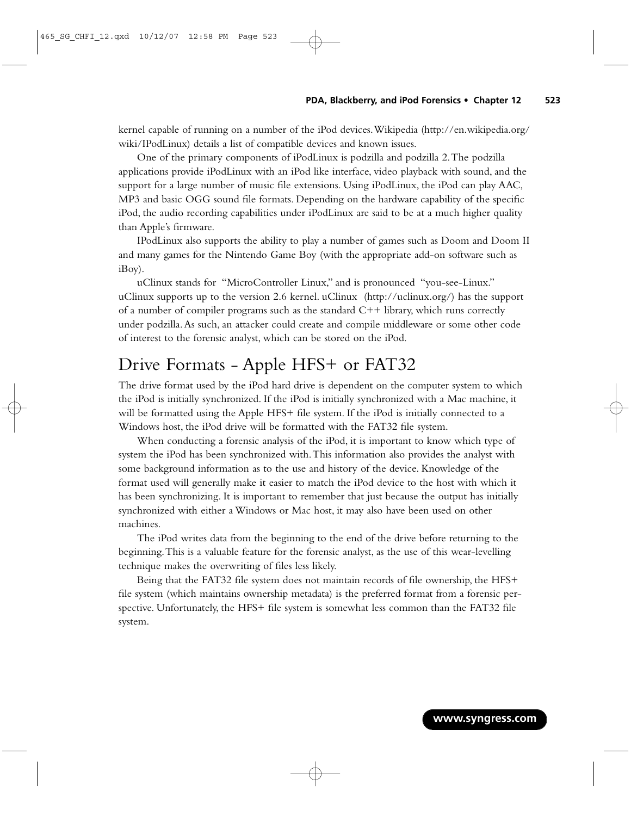kernel capable of running on a number of the iPod devices.Wikipedia (http://en.wikipedia.org/ wiki/IPodLinux) details a list of compatible devices and known issues.

One of the primary components of iPodLinux is podzilla and podzilla 2.The podzilla applications provide iPodLinux with an iPod like interface, video playback with sound, and the support for a large number of music file extensions. Using iPodLinux, the iPod can play AAC, MP3 and basic OGG sound file formats. Depending on the hardware capability of the specific iPod, the audio recording capabilities under iPodLinux are said to be at a much higher quality than Apple's firmware.

IPodLinux also supports the ability to play a number of games such as Doom and Doom II and many games for the Nintendo Game Boy (with the appropriate add-on software such as iBoy).

uClinux stands for "MicroController Linux," and is pronounced "you-see-Linux." uClinux supports up to the version 2.6 kernel. uClinux (http://uclinux.org/) has the support of a number of compiler programs such as the standard  $C++$  library, which runs correctly under podzilla.As such, an attacker could create and compile middleware or some other code of interest to the forensic analyst, which can be stored on the iPod.

#### Drive Formats - Apple HFS+ or FAT32

The drive format used by the iPod hard drive is dependent on the computer system to which the iPod is initially synchronized. If the iPod is initially synchronized with a Mac machine, it will be formatted using the Apple HFS+ file system. If the iPod is initially connected to a Windows host, the iPod drive will be formatted with the FAT32 file system.

When conducting a forensic analysis of the iPod, it is important to know which type of system the iPod has been synchronized with.This information also provides the analyst with some background information as to the use and history of the device. Knowledge of the format used will generally make it easier to match the iPod device to the host with which it has been synchronizing. It is important to remember that just because the output has initially synchronized with either a Windows or Mac host, it may also have been used on other machines.

The iPod writes data from the beginning to the end of the drive before returning to the beginning.This is a valuable feature for the forensic analyst, as the use of this wear-levelling technique makes the overwriting of files less likely.

Being that the FAT32 file system does not maintain records of file ownership, the HFS+ file system (which maintains ownership metadata) is the preferred format from a forensic perspective. Unfortunately, the HFS+ file system is somewhat less common than the FAT32 file system.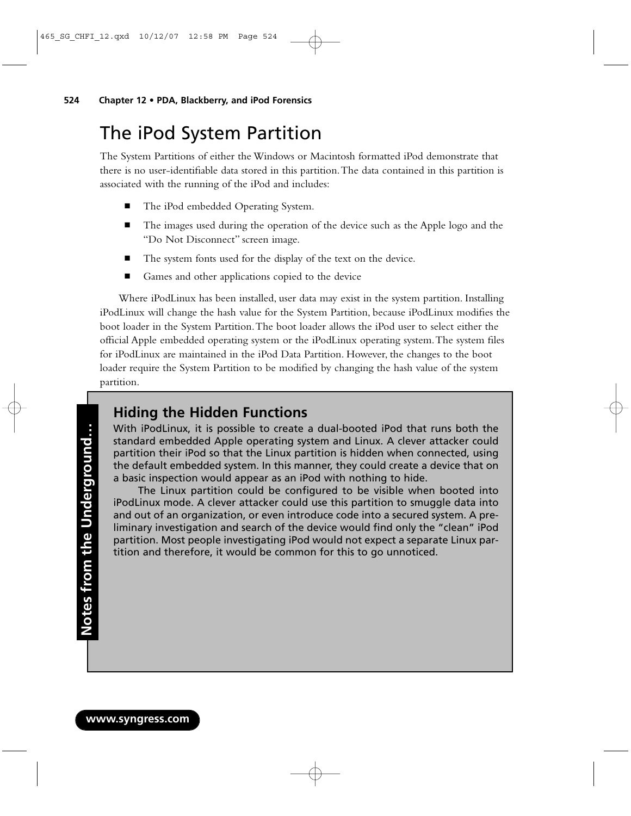# The iPod System Partition

The System Partitions of either the Windows or Macintosh formatted iPod demonstrate that there is no user-identifiable data stored in this partition.The data contained in this partition is associated with the running of the iPod and includes:

- The iPod embedded Operating System.
- The images used during the operation of the device such as the Apple logo and the "Do Not Disconnect" screen image.
- The system fonts used for the display of the text on the device.
- Games and other applications copied to the device

Where iPodLinux has been installed, user data may exist in the system partition. Installing iPodLinux will change the hash value for the System Partition, because iPodLinux modifies the boot loader in the System Partition.The boot loader allows the iPod user to select either the official Apple embedded operating system or the iPodLinux operating system.The system files for iPodLinux are maintained in the iPod Data Partition. However, the changes to the boot loader require the System Partition to be modified by changing the hash value of the system partition.

#### **Hiding the Hidden Functions**

With iPodLinux, it is possible to create a dual-booted iPod that runs both the standard embedded Apple operating system and Linux. A clever attacker could partition their iPod so that the Linux partition is hidden when connected, using the default embedded system. In this manner, they could create a device that on a basic inspection would appear as an iPod with nothing to hide.

The Linux partition could be configured to be visible when booted into iPodLinux mode. A clever attacker could use this partition to smuggle data into and out of an organization, or even introduce code into a secured system. A preliminary investigation and search of the device would find only the "clean" iPod partition. Most people investigating iPod would not expect a separate Linux partition and therefore, it would be common for this to go unnoticed.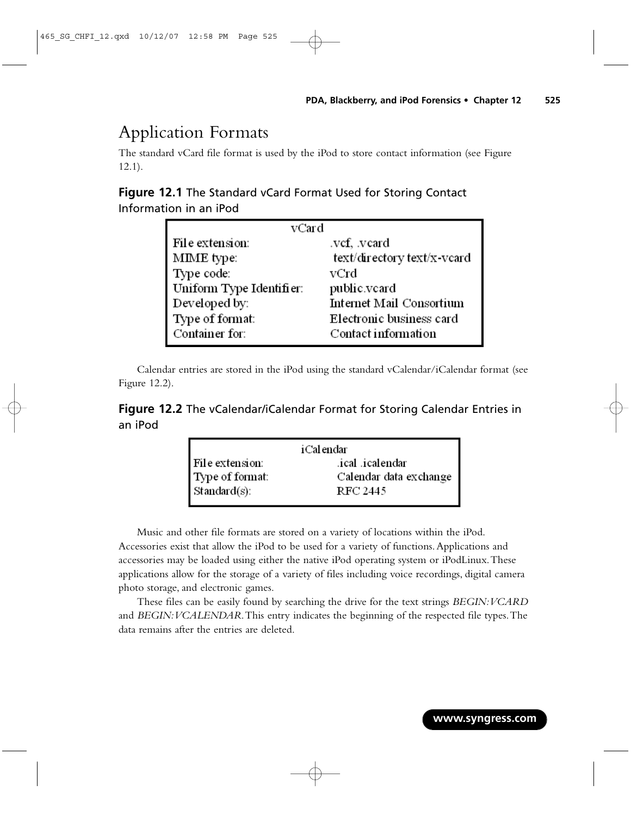#### Application Formats

The standard vCard file format is used by the iPod to store contact information (see Figure 12.1).

#### **Figure 12.1** The Standard vCard Format Used for Storing Contact Information in an iPod

| vCard                    |                             |
|--------------------------|-----------------------------|
| File extension:          | .vcf, .vcard                |
| MIME type:               | text/directory text/x-vcard |
| Type code:               | vCrd                        |
| Uniform Type Identifier: | public.vcard                |
| Developed by:            | Internet Mail Consortium    |
| Type of format:          | Electronic business card    |
| Container for:           | Contact information         |

Calendar entries are stored in the iPod using the standard vCalendar/iCalendar format (see Figure 12.2).

**Figure 12.2** The vCalendar/iCalendar Format for Storing Calendar Entries in an iPod

| iCal endar      |                        |
|-----------------|------------------------|
| File extension: | .ical .icalendar       |
| Type of format: | Calendar data exchange |
| Standard(s):    | RFC 2445               |

Music and other file formats are stored on a variety of locations within the iPod. Accessories exist that allow the iPod to be used for a variety of functions.Applications and accessories may be loaded using either the native iPod operating system or iPodLinux.These applications allow for the storage of a variety of files including voice recordings, digital camera photo storage, and electronic games.

These files can be easily found by searching the drive for the text strings *BEGIN:VCARD* and *BEGIN:VCALENDAR*.This entry indicates the beginning of the respected file types.The data remains after the entries are deleted.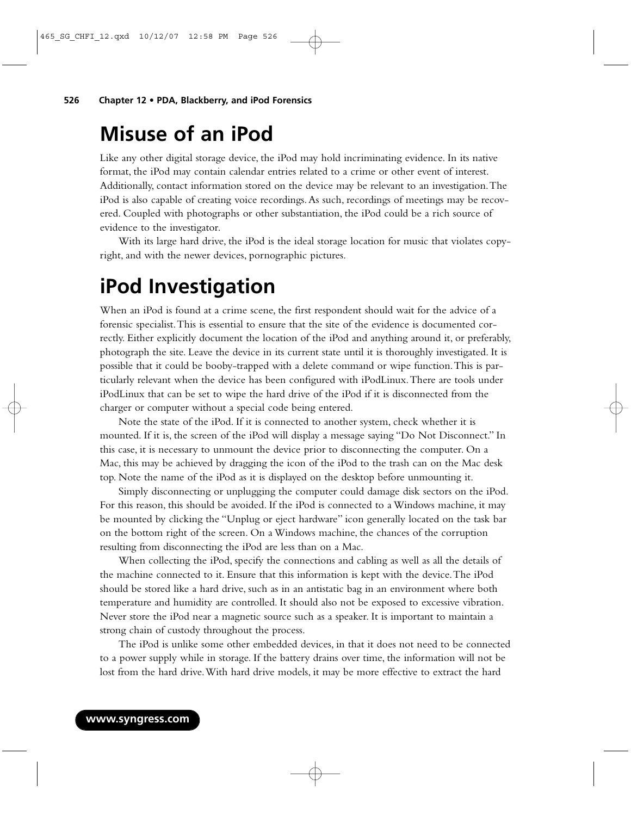# **Misuse of an iPod**

Like any other digital storage device, the iPod may hold incriminating evidence. In its native format, the iPod may contain calendar entries related to a crime or other event of interest. Additionally, contact information stored on the device may be relevant to an investigation.The iPod is also capable of creating voice recordings.As such, recordings of meetings may be recovered. Coupled with photographs or other substantiation, the iPod could be a rich source of evidence to the investigator.

With its large hard drive, the iPod is the ideal storage location for music that violates copyright, and with the newer devices, pornographic pictures.

# **iPod Investigation**

When an iPod is found at a crime scene, the first respondent should wait for the advice of a forensic specialist.This is essential to ensure that the site of the evidence is documented correctly. Either explicitly document the location of the iPod and anything around it, or preferably, photograph the site. Leave the device in its current state until it is thoroughly investigated. It is possible that it could be booby-trapped with a delete command or wipe function.This is particularly relevant when the device has been configured with iPodLinux.There are tools under iPodLinux that can be set to wipe the hard drive of the iPod if it is disconnected from the charger or computer without a special code being entered.

Note the state of the iPod. If it is connected to another system, check whether it is mounted. If it is, the screen of the iPod will display a message saying "Do Not Disconnect." In this case, it is necessary to unmount the device prior to disconnecting the computer. On a Mac, this may be achieved by dragging the icon of the iPod to the trash can on the Mac desk top. Note the name of the iPod as it is displayed on the desktop before unmounting it.

Simply disconnecting or unplugging the computer could damage disk sectors on the iPod. For this reason, this should be avoided. If the iPod is connected to a Windows machine, it may be mounted by clicking the "Unplug or eject hardware" icon generally located on the task bar on the bottom right of the screen. On a Windows machine, the chances of the corruption resulting from disconnecting the iPod are less than on a Mac.

When collecting the iPod, specify the connections and cabling as well as all the details of the machine connected to it. Ensure that this information is kept with the device.The iPod should be stored like a hard drive, such as in an antistatic bag in an environment where both temperature and humidity are controlled. It should also not be exposed to excessive vibration. Never store the iPod near a magnetic source such as a speaker. It is important to maintain a strong chain of custody throughout the process.

The iPod is unlike some other embedded devices, in that it does not need to be connected to a power supply while in storage. If the battery drains over time, the information will not be lost from the hard drive.With hard drive models, it may be more effective to extract the hard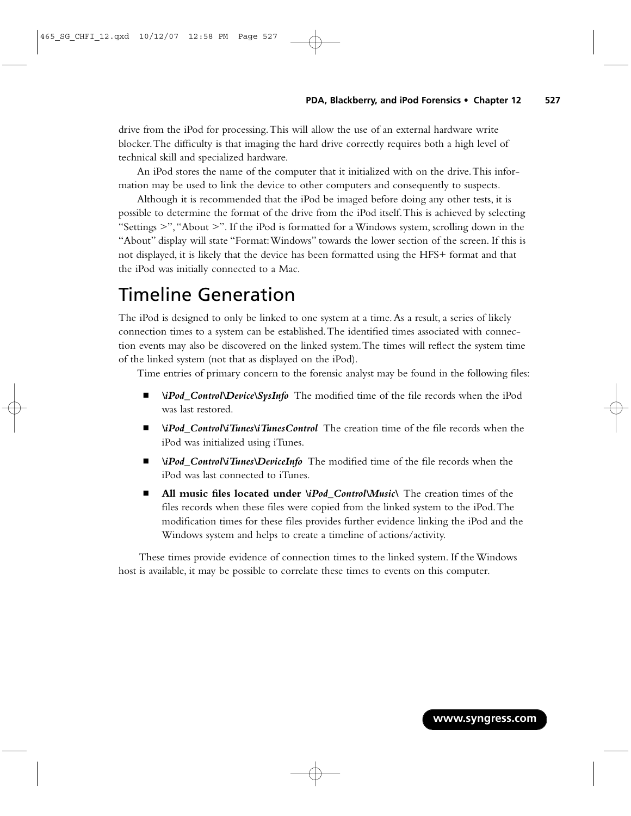drive from the iPod for processing.This will allow the use of an external hardware write blocker.The difficulty is that imaging the hard drive correctly requires both a high level of technical skill and specialized hardware.

An iPod stores the name of the computer that it initialized with on the drive.This information may be used to link the device to other computers and consequently to suspects.

Although it is recommended that the iPod be imaged before doing any other tests, it is possible to determine the format of the drive from the iPod itself.This is achieved by selecting "Settings  $\geq$ ", "About  $\geq$ ". If the iPod is formatted for a Windows system, scrolling down in the "About" display will state "Format:Windows" towards the lower section of the screen. If this is not displayed, it is likely that the device has been formatted using the HFS+ format and that the iPod was initially connected to a Mac.

#### Timeline Generation

The iPod is designed to only be linked to one system at a time.As a result, a series of likely connection times to a system can be established.The identified times associated with connection events may also be discovered on the linked system.The times will reflect the system time of the linked system (not that as displayed on the iPod).

Time entries of primary concern to the forensic analyst may be found in the following files:

- *\iPod\_Control\Device\SysInfo* The modified time of the file records when the iPod was last restored.
- *<i>\iPod\_Control\iTunes\iTunesControl* The creation time of the file records when the iPod was initialized using iTunes.
- *<i>\iPod\_Control\iTunes\DeviceInfo* The modified time of the file records when the iPod was last connected to iTunes.
- All music files located under *\iPod Control\Music*\ The creation times of the files records when these files were copied from the linked system to the iPod.The modification times for these files provides further evidence linking the iPod and the Windows system and helps to create a timeline of actions/activity.

These times provide evidence of connection times to the linked system. If the Windows host is available, it may be possible to correlate these times to events on this computer.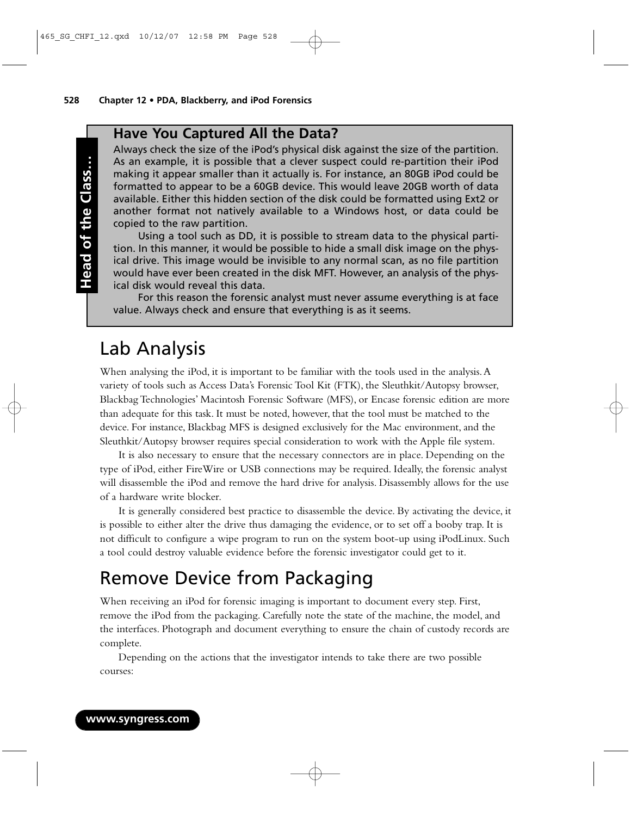#### **Have You Captured All the Data?**

Always check the size of the iPod's physical disk against the size of the partition. As an example, it is possible that a clever suspect could re-partition their iPod making it appear smaller than it actually is. For instance, an 80GB iPod could be formatted to appear to be a 60GB device. This would leave 20GB worth of data available. Either this hidden section of the disk could be formatted using Ext2 or another format not natively available to a Windows host, or data could be copied to the raw partition.

Using a tool such as DD, it is possible to stream data to the physical partition. In this manner, it would be possible to hide a small disk image on the physical drive. This image would be invisible to any normal scan, as no file partition would have ever been created in the disk MFT. However, an analysis of the physical disk would reveal this data.

For this reason the forensic analyst must never assume everything is at face value. Always check and ensure that everything is as it seems.

# Lab Analysis

When analysing the iPod, it is important to be familiar with the tools used in the analysis.A variety of tools such as Access Data's Forensic Tool Kit (FTK), the Sleuthkit/Autopsy browser, Blackbag Technologies' Macintosh Forensic Software (MFS), or Encase forensic edition are more than adequate for this task. It must be noted, however, that the tool must be matched to the device. For instance, Blackbag MFS is designed exclusively for the Mac environment, and the Sleuthkit/Autopsy browser requires special consideration to work with the Apple file system.

It is also necessary to ensure that the necessary connectors are in place. Depending on the type of iPod, either FireWire or USB connections may be required. Ideally, the forensic analyst will disassemble the iPod and remove the hard drive for analysis. Disassembly allows for the use of a hardware write blocker.

It is generally considered best practice to disassemble the device. By activating the device, it is possible to either alter the drive thus damaging the evidence, or to set off a booby trap. It is not difficult to configure a wipe program to run on the system boot-up using iPodLinux. Such a tool could destroy valuable evidence before the forensic investigator could get to it.

# Remove Device from Packaging

When receiving an iPod for forensic imaging is important to document every step. First, remove the iPod from the packaging. Carefully note the state of the machine, the model, and the interfaces. Photograph and document everything to ensure the chain of custody records are complete.

Depending on the actions that the investigator intends to take there are two possible courses: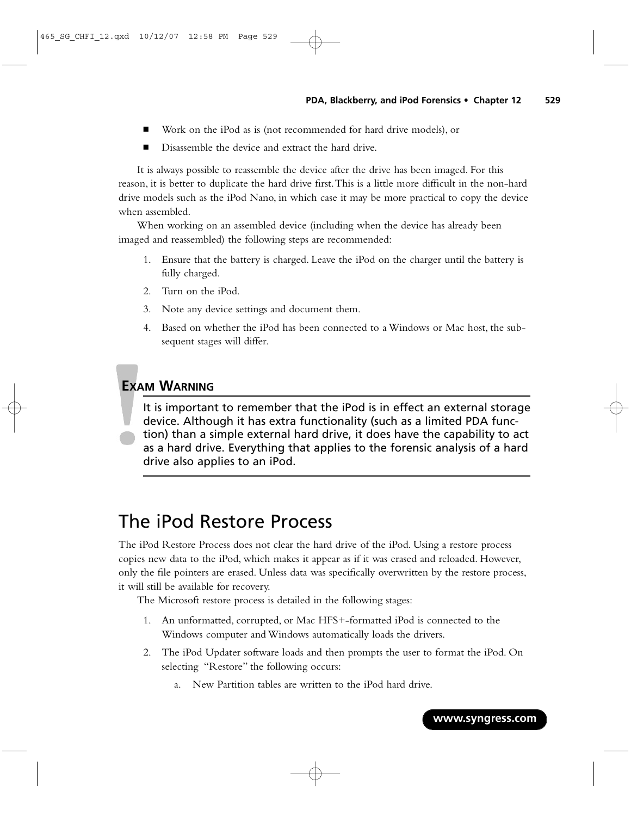- Work on the iPod as is (not recommended for hard drive models), or
- Disassemble the device and extract the hard drive.

It is always possible to reassemble the device after the drive has been imaged. For this reason, it is better to duplicate the hard drive first.This is a little more difficult in the non-hard drive models such as the iPod Nano, in which case it may be more practical to copy the device when assembled.

When working on an assembled device (including when the device has already been imaged and reassembled) the following steps are recommended:

- 1. Ensure that the battery is charged. Leave the iPod on the charger until the battery is fully charged.
- 2. Turn on the iPod.
- 3. Note any device settings and document them.
- 4. Based on whether the iPod has been connected to a Windows or Mac host, the subsequent stages will differ.

#### **EXAM WARNING**

It is important to remember that the iPod is in effect an external storage device. Although it has extra functionality (such as a limited PDA function) than a simple external hard drive, it does have the capability to act as a hard drive. Everything that applies to the forensic analysis of a hard drive also applies to an iPod.

#### The iPod Restore Process

The iPod Restore Process does not clear the hard drive of the iPod. Using a restore process copies new data to the iPod, which makes it appear as if it was erased and reloaded. However, only the file pointers are erased. Unless data was specifically overwritten by the restore process, it will still be available for recovery.

The Microsoft restore process is detailed in the following stages:

- 1. An unformatted, corrupted, or Mac HFS+-formatted iPod is connected to the Windows computer and Windows automatically loads the drivers.
- 2. The iPod Updater software loads and then prompts the user to format the iPod. On selecting "Restore" the following occurs:
	- a. New Partition tables are written to the iPod hard drive.

**www.syngress.com**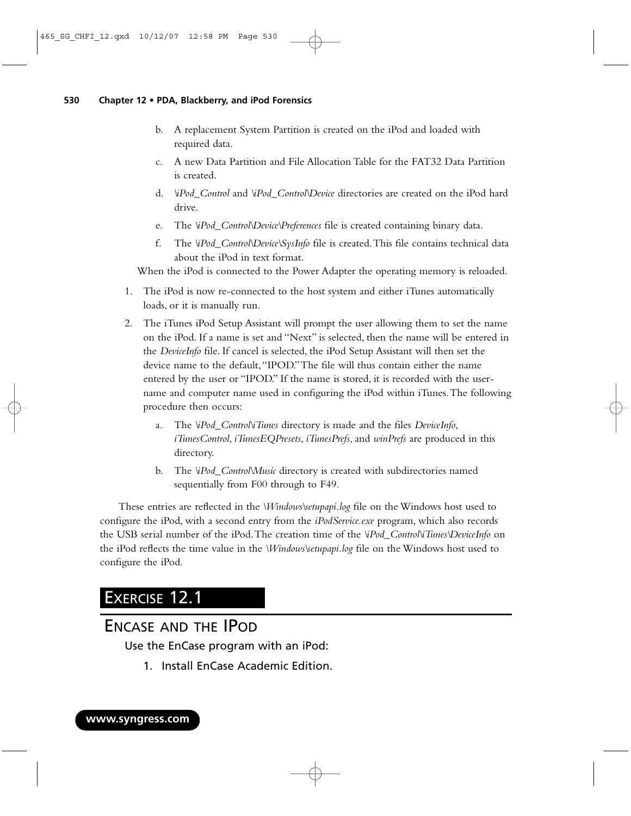- b. A replacement System Partition is created on the iPod and loaded with required data.
- c. A new Data Partition and File Allocation Table for the FAT32 Data Partition is created.
- d. *\iPod\_Control* and *\iPod\_Control\Device* directories are created on the iPod hard drive.
- e. The *\iPod\_Control\Device\Preferences* file is created containing binary data.
- f. The *\iPod\_Control\Device\SysInfo* file is created.This file contains technical data about the iPod in text format.

When the iPod is connected to the Power Adapter the operating memory is reloaded.

- 1. The iPod is now re-connected to the host system and either iTunes automatically loads, or it is manually run.
- 2. The iTunes iPod Setup Assistant will prompt the user allowing them to set the name on the iPod. If a name is set and "Next" is selected, then the name will be entered in the *DeviceInfo* file. If cancel is selected, the iPod Setup Assistant will then set the device name to the default,"IPOD."The file will thus contain either the name entered by the user or "IPOD." If the name is stored, it is recorded with the username and computer name used in configuring the iPod within iTunes.The following procedure then occurs:
	- a. The *\iPod\_Control\iTunes* directory is made and the files *DeviceInfo*, *iTunesControl*, *iTunesEQPresets*, *iTunesPrefs*, and *winPrefs* are produced in this directory.
	- b. The *\iPod\_Control\Music* directory is created with subdirectories named sequentially from F00 through to F49.

These entries are reflected in the *\Windows\setupapi.log* file on the Windows host used to configure the iPod, with a second entry from the *iPodService.exe* program, which also records the USB serial number of the iPod.The creation time of the *\iPod\_Control\iTunes\DeviceInfo* on the iPod reflects the time value in the *\Windows\setupapi.log* file on the Windows host used to configure the iPod.

#### EXERCISE 12.1

#### ENCASE AND THE IPOD

Use the EnCase program with an iPod:

1. Install EnCase Academic Edition.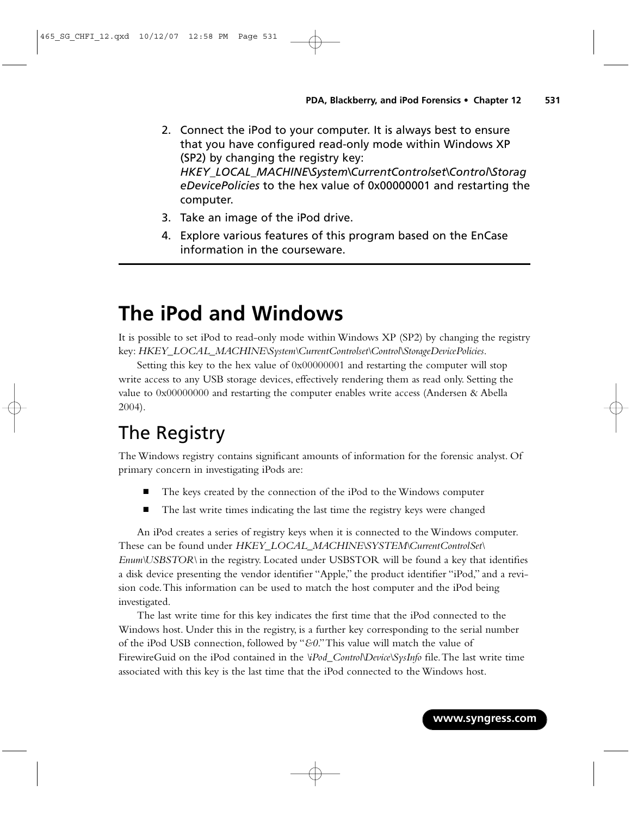- 2. Connect the iPod to your computer. It is always best to ensure that you have configured read-only mode within Windows XP (SP2) by changing the registry key: *HKEY\_LOCAL\_MACHINE\System\CurrentControlset\Control\Storag eDevicePolicies* to the hex value of 0x00000001 and restarting the computer.
- 3. Take an image of the iPod drive.
- 4. Explore various features of this program based on the EnCase information in the courseware.

# **The iPod and Windows**

It is possible to set iPod to read-only mode within Windows XP (SP2) by changing the registry key: *HKEY\_LOCAL\_MACHINE\System\CurrentControlset\Control\StorageDevicePolicies*.

Setting this key to the hex value of 0x00000001 and restarting the computer will stop write access to any USB storage devices, effectively rendering them as read only. Setting the value to 0x00000000 and restarting the computer enables write access (Andersen & Abella 2004).

# The Registry

The Windows registry contains significant amounts of information for the forensic analyst. Of primary concern in investigating iPods are:

- The keys created by the connection of the iPod to the Windows computer
- The last write times indicating the last time the registry keys were changed

An iPod creates a series of registry keys when it is connected to the Windows computer. These can be found under *HKEY\_LOCAL\_MACHINE\SYSTEM\CurrentControlSet\ Enum\USBSTOR\* in the registry. Located under USBSTOR will be found a key that identifies a disk device presenting the vendor identifier "Apple," the product identifier "iPod," and a revision code.This information can be used to match the host computer and the iPod being investigated.

The last write time for this key indicates the first time that the iPod connected to the Windows host. Under this in the registry, is a further key corresponding to the serial number of the iPod USB connection, followed by "*&0*."This value will match the value of FirewireGuid on the iPod contained in the *\iPod\_Control\Device\SysInfo* file.The last write time associated with this key is the last time that the iPod connected to the Windows host.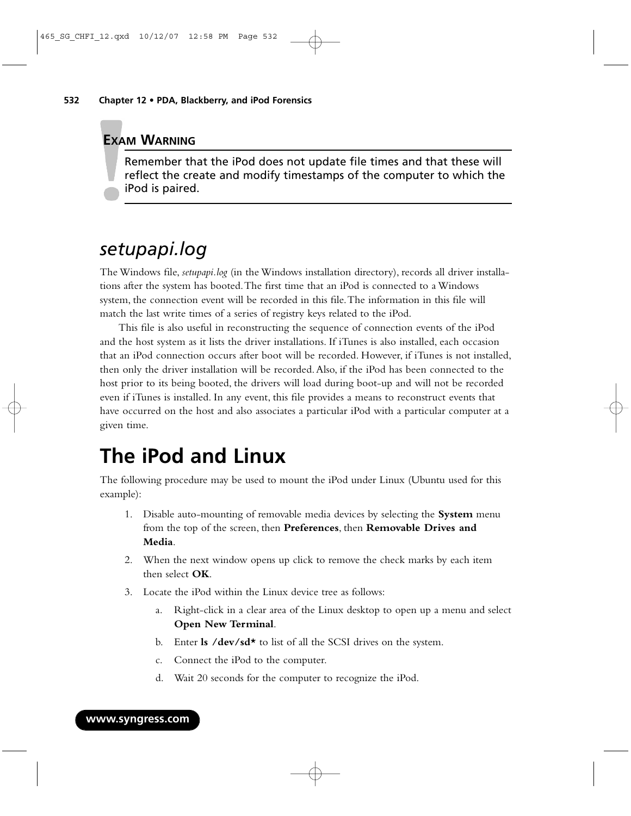#### **EXAM WARNING**

Remember that the iPod does not update file times and that these will reflect the create and modify timestamps of the computer to which the iPod is paired.

#### *setupapi.log*

The Windows file, *setupapi.log* (in the Windows installation directory), records all driver installations after the system has booted.The first time that an iPod is connected to a Windows system, the connection event will be recorded in this file.The information in this file will match the last write times of a series of registry keys related to the iPod.

This file is also useful in reconstructing the sequence of connection events of the iPod and the host system as it lists the driver installations. If iTunes is also installed, each occasion that an iPod connection occurs after boot will be recorded. However, if iTunes is not installed, then only the driver installation will be recorded.Also, if the iPod has been connected to the host prior to its being booted, the drivers will load during boot-up and will not be recorded even if iTunes is installed. In any event, this file provides a means to reconstruct events that have occurred on the host and also associates a particular iPod with a particular computer at a given time.

# **The iPod and Linux**

The following procedure may be used to mount the iPod under Linux (Ubuntu used for this example):

- 1. Disable auto-mounting of removable media devices by selecting the **System** menu from the top of the screen, then **Preferences**, then **Removable Drives and Media**.
- 2. When the next window opens up click to remove the check marks by each item then select **OK**.
- 3. Locate the iPod within the Linux device tree as follows:
	- a. Right-click in a clear area of the Linux desktop to open up a menu and select **Open New Terminal**.
	- b. Enter **ls /dev/sd\*** to list of all the SCSI drives on the system.
	- c. Connect the iPod to the computer.
	- d. Wait 20 seconds for the computer to recognize the iPod.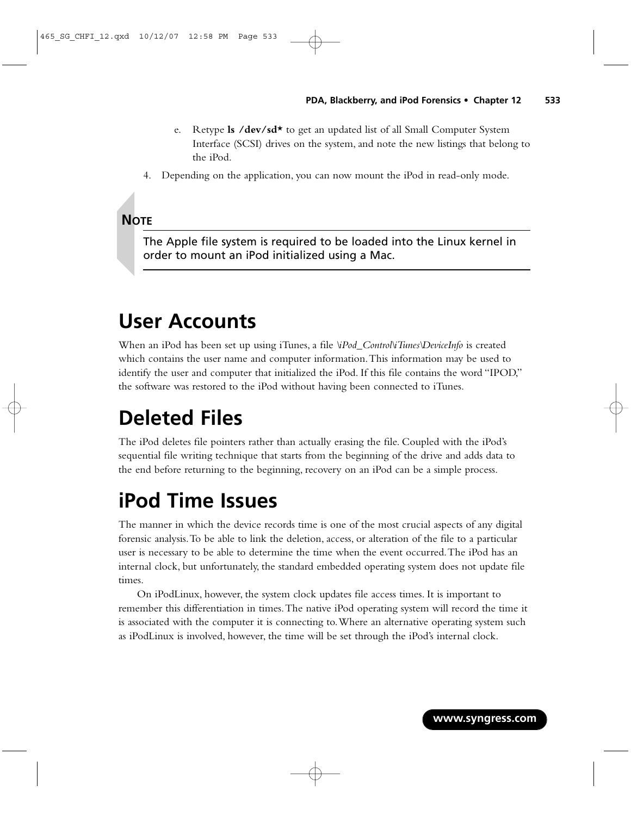- e. Retype **ls /dev/sd\*** to get an updated list of all Small Computer System Interface (SCSI) drives on the system, and note the new listings that belong to the iPod.
- 4. Depending on the application, you can now mount the iPod in read-only mode.

#### **NOTE**

The Apple file system is required to be loaded into the Linux kernel in order to mount an iPod initialized using a Mac.

# **User Accounts**

When an iPod has been set up using iTunes, a file *\iPod\_Control\iTunes\DeviceInfo* is created which contains the user name and computer information.This information may be used to identify the user and computer that initialized the iPod. If this file contains the word "IPOD," the software was restored to the iPod without having been connected to iTunes.

# **Deleted Files**

The iPod deletes file pointers rather than actually erasing the file. Coupled with the iPod's sequential file writing technique that starts from the beginning of the drive and adds data to the end before returning to the beginning, recovery on an iPod can be a simple process.

# **iPod Time Issues**

The manner in which the device records time is one of the most crucial aspects of any digital forensic analysis.To be able to link the deletion, access, or alteration of the file to a particular user is necessary to be able to determine the time when the event occurred.The iPod has an internal clock, but unfortunately, the standard embedded operating system does not update file times.

On iPodLinux, however, the system clock updates file access times. It is important to remember this differentiation in times.The native iPod operating system will record the time it is associated with the computer it is connecting to.Where an alternative operating system such as iPodLinux is involved, however, the time will be set through the iPod's internal clock.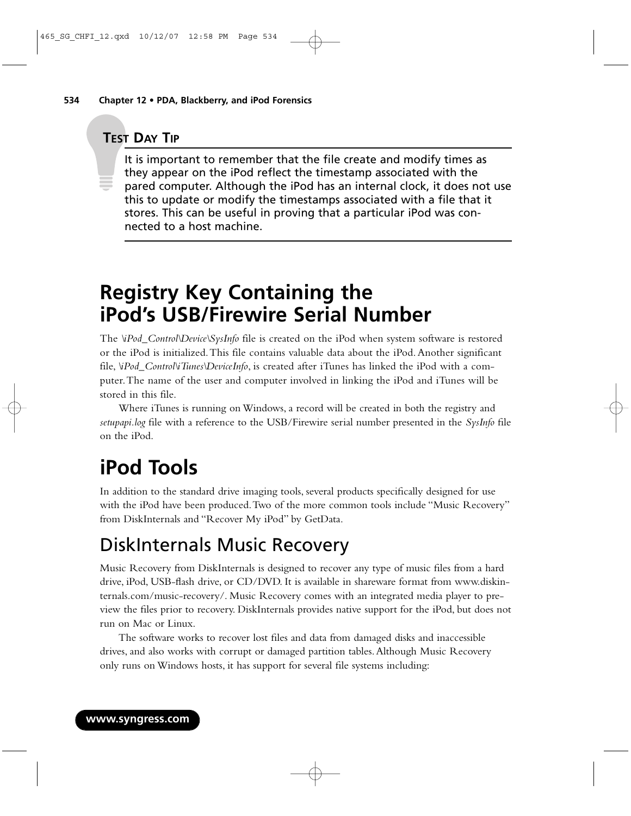#### **TEST DAY TIP**

It is important to remember that the file create and modify times as they appear on the iPod reflect the timestamp associated with the pared computer. Although the iPod has an internal clock, it does not use this to update or modify the timestamps associated with a file that it stores. This can be useful in proving that a particular iPod was connected to a host machine.

# **Registry Key Containing the iPod's USB/Firewire Serial Number**

The *\iPod\_Control\Device\SysInfo* file is created on the iPod when system software is restored or the iPod is initialized.This file contains valuable data about the iPod. Another significant file, *\iPod\_Control\iTunes\DeviceInfo*, is created after iTunes has linked the iPod with a computer.The name of the user and computer involved in linking the iPod and iTunes will be stored in this file.

Where iTunes is running on Windows, a record will be created in both the registry and *setupapi.log* file with a reference to the USB/Firewire serial number presented in the *SysInfo* file on the iPod.

# **iPod Tools**

In addition to the standard drive imaging tools, several products specifically designed for use with the iPod have been produced.Two of the more common tools include "Music Recovery" from DiskInternals and "Recover My iPod" by GetData.

# DiskInternals Music Recovery

Music Recovery from DiskInternals is designed to recover any type of music files from a hard drive, iPod, USB-flash drive, or CD/DVD. It is available in shareware format from www.diskinternals.com/music-recovery/. Music Recovery comes with an integrated media player to preview the files prior to recovery. DiskInternals provides native support for the iPod, but does not run on Mac or Linux.

The software works to recover lost files and data from damaged disks and inaccessible drives, and also works with corrupt or damaged partition tables.Although Music Recovery only runs on Windows hosts, it has support for several file systems including: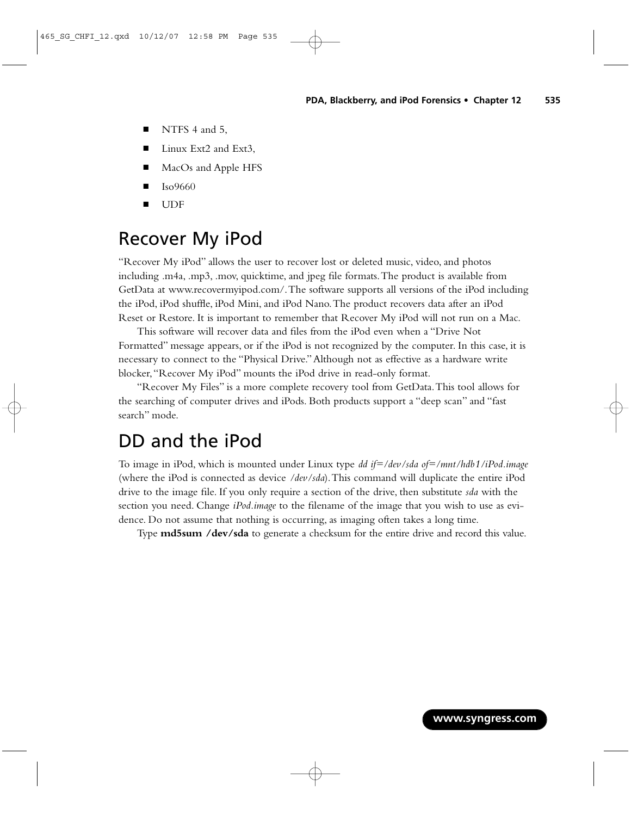- NTFS 4 and 5,
- Linux Ext2 and Ext3,
- MacOs and Apple HFS
- Iso9660
- UDF

#### Recover My iPod

"Recover My iPod" allows the user to recover lost or deleted music, video, and photos including .m4a, .mp3, .mov, quicktime, and jpeg file formats.The product is available from GetData at www.recovermyipod.com/.The software supports all versions of the iPod including the iPod, iPod shuffle, iPod Mini, and iPod Nano.The product recovers data after an iPod Reset or Restore. It is important to remember that Recover My iPod will not run on a Mac.

This software will recover data and files from the iPod even when a "Drive Not Formatted" message appears, or if the iPod is not recognized by the computer. In this case, it is necessary to connect to the "Physical Drive."Although not as effective as a hardware write blocker,"Recover My iPod" mounts the iPod drive in read-only format.

"Recover My Files" is a more complete recovery tool from GetData.This tool allows for the searching of computer drives and iPods. Both products support a "deep scan" and "fast search" mode.

#### DD and the iPod

To image in iPod, which is mounted under Linux type *dd if=/dev/sda of=/mnt/hdb1/iPod.image* (where the iPod is connected as device */dev/sda*).This command will duplicate the entire iPod drive to the image file. If you only require a section of the drive, then substitute *sda* with the section you need. Change *iPod.image* to the filename of the image that you wish to use as evidence. Do not assume that nothing is occurring, as imaging often takes a long time.

Type **md5sum /dev/sda** to generate a checksum for the entire drive and record this value.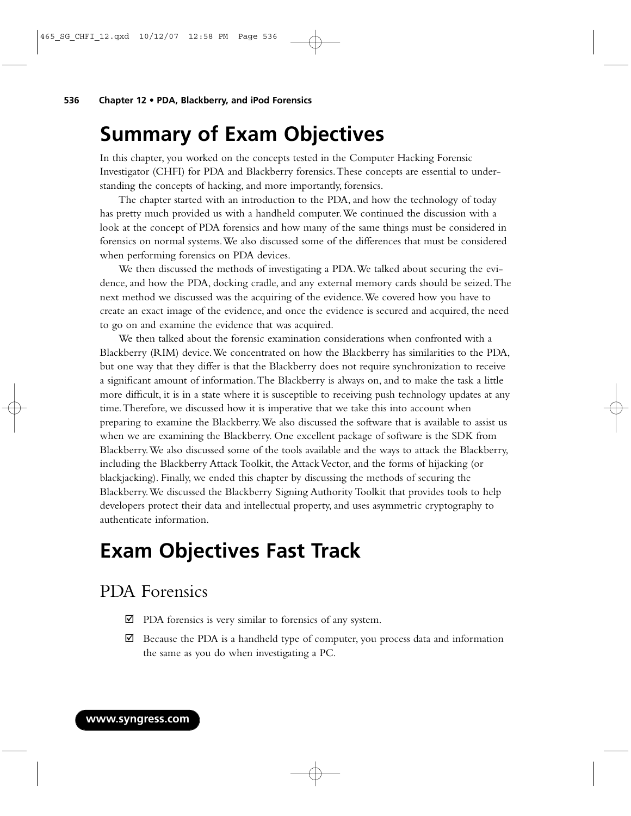# **Summary of Exam Objectives**

In this chapter, you worked on the concepts tested in the Computer Hacking Forensic Investigator (CHFI) for PDA and Blackberry forensics.These concepts are essential to understanding the concepts of hacking, and more importantly, forensics.

The chapter started with an introduction to the PDA, and how the technology of today has pretty much provided us with a handheld computer.We continued the discussion with a look at the concept of PDA forensics and how many of the same things must be considered in forensics on normal systems.We also discussed some of the differences that must be considered when performing forensics on PDA devices.

We then discussed the methods of investigating a PDA.We talked about securing the evidence, and how the PDA, docking cradle, and any external memory cards should be seized.The next method we discussed was the acquiring of the evidence.We covered how you have to create an exact image of the evidence, and once the evidence is secured and acquired, the need to go on and examine the evidence that was acquired.

We then talked about the forensic examination considerations when confronted with a Blackberry (RIM) device.We concentrated on how the Blackberry has similarities to the PDA, but one way that they differ is that the Blackberry does not require synchronization to receive a significant amount of information.The Blackberry is always on, and to make the task a little more difficult, it is in a state where it is susceptible to receiving push technology updates at any time.Therefore, we discussed how it is imperative that we take this into account when preparing to examine the Blackberry.We also discussed the software that is available to assist us when we are examining the Blackberry. One excellent package of software is the SDK from Blackberry.We also discussed some of the tools available and the ways to attack the Blackberry, including the Blackberry Attack Toolkit, the Attack Vector, and the forms of hijacking (or blackjacking). Finally, we ended this chapter by discussing the methods of securing the Blackberry.We discussed the Blackberry Signing Authority Toolkit that provides tools to help developers protect their data and intellectual property, and uses asymmetric cryptography to authenticate information.

# **Exam Objectives Fast Track**

#### PDA Forensics

- $\Box$  PDA forensics is very similar to forensics of any system.
- $\boxtimes$  Because the PDA is a handheld type of computer, you process data and information the same as you do when investigating a PC.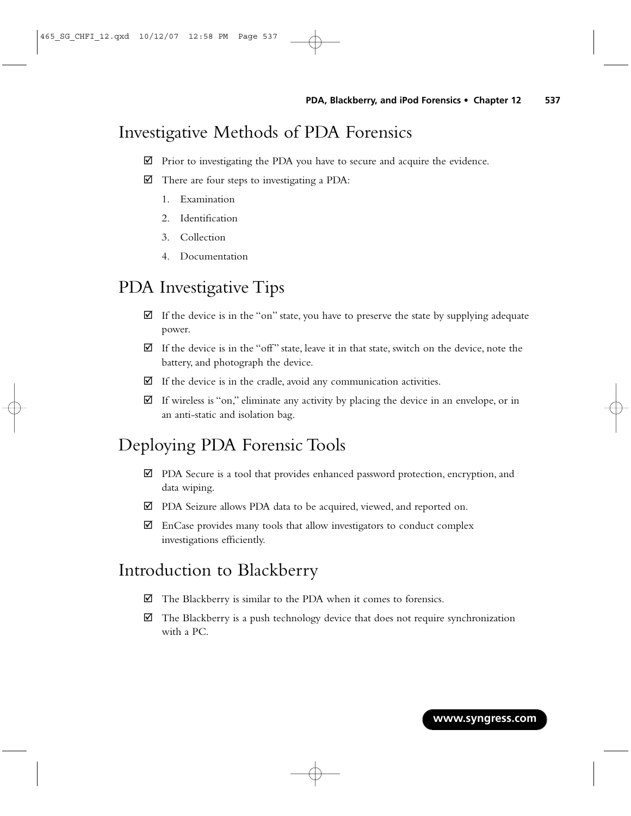#### Investigative Methods of PDA Forensics

- $\boxtimes$  Prior to investigating the PDA you have to secure and acquire the evidence.
- $\Box$  There are four steps to investigating a PDA:
	- 1. Examination
	- 2. Identification
	- 3. Collection
	- 4. Documentation

#### PDA Investigative Tips

- $\boxtimes$  If the device is in the "on" state, you have to preserve the state by supplying adequate power.
- $\boxtimes$  If the device is in the "off" state, leave it in that state, switch on the device, note the battery, and photograph the device.
- $\boxtimes$  If the device is in the cradle, avoid any communication activities.
- $\boxtimes$  If wireless is "on," eliminate any activity by placing the device in an envelope, or in an anti-static and isolation bag.

#### Deploying PDA Forensic Tools

- $\boxtimes$  PDA Secure is a tool that provides enhanced password protection, encryption, and data wiping.
- $\Phi$  PDA Seizure allows PDA data to be acquired, viewed, and reported on.
- $\boxtimes$  EnCase provides many tools that allow investigators to conduct complex investigations efficiently.

#### Introduction to Blackberry

- $\boxtimes$  The Blackberry is similar to the PDA when it comes to forensics.
- $\boxtimes$  The Blackberry is a push technology device that does not require synchronization with a PC.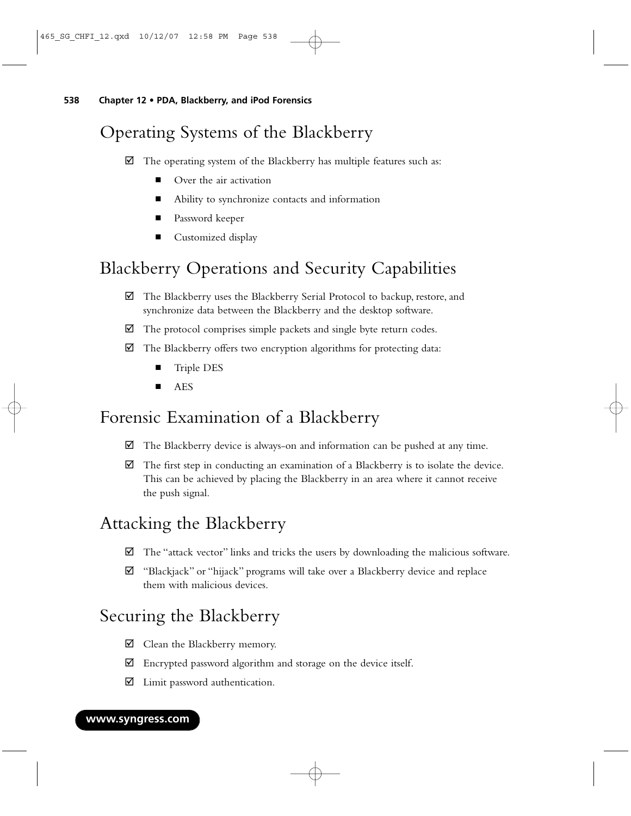#### Operating Systems of the Blackberry

 $\boxtimes$  The operating system of the Blackberry has multiple features such as:

- Over the air activation
- Ability to synchronize contacts and information
- Password keeper
- Customized display

#### Blackberry Operations and Security Capabilities

- The Blackberry uses the Blackberry Serial Protocol to backup, restore, and synchronize data between the Blackberry and the desktop software.
- $\boxtimes$  The protocol comprises simple packets and single byte return codes.
- $\boxtimes$  The Blackberry offers two encryption algorithms for protecting data:
	- Triple DES
	- AES

#### Forensic Examination of a Blackberry

- $\boxtimes$  The Blackberry device is always-on and information can be pushed at any time.
- $\boxtimes$  The first step in conducting an examination of a Blackberry is to isolate the device. This can be achieved by placing the Blackberry in an area where it cannot receive the push signal.

#### Attacking the Blackberry

- $\boxtimes$  The "attack vector" links and tricks the users by downloading the malicious software.
- $\boxtimes$  "Blackjack" or "hijack" programs will take over a Blackberry device and replace them with malicious devices.

#### Securing the Blackberry

- Clean the Blackberry memory.
- $\boxtimes$  Encrypted password algorithm and storage on the device itself.
- Limit password authentication.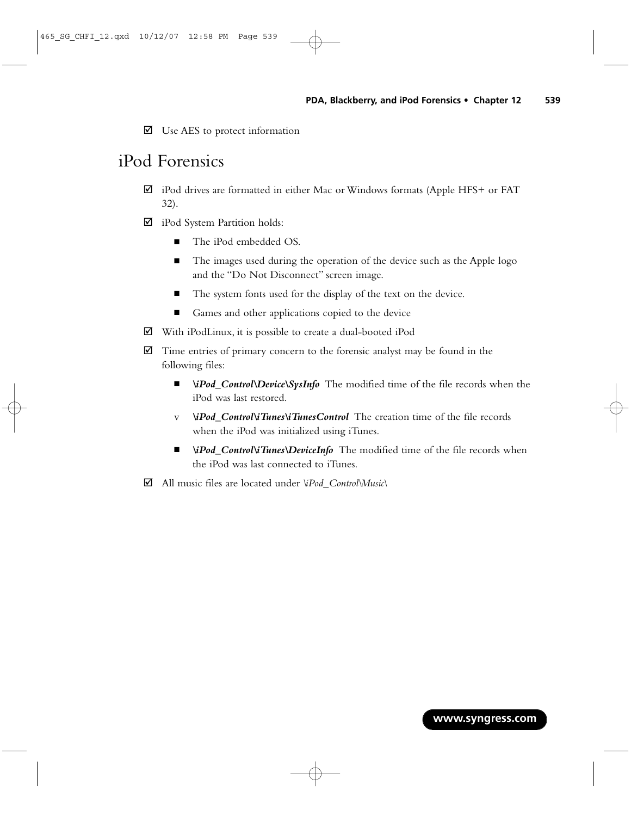$\boxtimes$  Use AES to protect information

#### iPod Forensics

- $\boxtimes$  iPod drives are formatted in either Mac or Windows formats (Apple HFS+ or FAT 32).
- iPod System Partition holds:
	- The iPod embedded OS.
	- The images used during the operation of the device such as the Apple logo and the "Do Not Disconnect" screen image.
	- The system fonts used for the display of the text on the device.
	- Games and other applications copied to the device
- With iPodLinux, it is possible to create a dual-booted iPod
- $\boxtimes$  Time entries of primary concern to the forensic analyst may be found in the following files:
	- *\iPod\_Control\Device\SysInfo* The modified time of the file records when the iPod was last restored.
	- v *\iPod\_Control\iTunes\iTunesControl* The creation time of the file records when the iPod was initialized using iTunes.
	- *\iPod\_Control\iTunes\DeviceInfo* The modified time of the file records when the iPod was last connected to iTunes.
- All music files are located under *\iPod\_Control\Music\*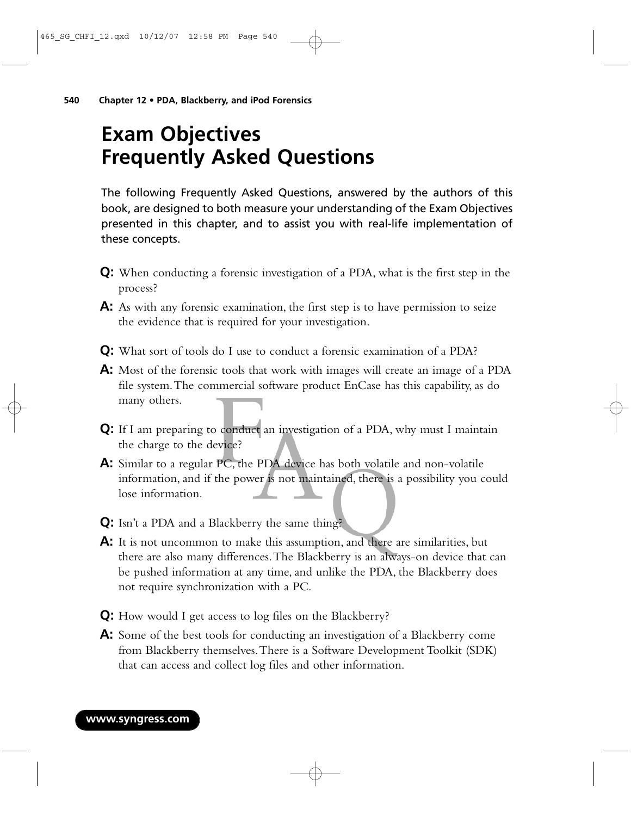# **Exam Objectives Frequently Asked Questions**

The following Frequently Asked Questions, answered by the authors of this book, are designed to both measure your understanding of the Exam Objectives presented in this chapter, and to assist you with real-life implementation of these concepts.

- **Q:** When conducting a forensic investigation of a PDA, what is the first step in the process?
- **A:** As with any forensic examination, the first step is to have permission to seize the evidence that is required for your investigation.
- **Q:** What sort of tools do I use to conduct a forensic examination of a PDA?
- **A:** Most of the forensic tools that work with images will create an image of a PDA file system.The commercial software product EnCase has this capability, as do many others.
- **Q:** If I am preparing to conduct an investigation of a PDA, why must I maintain the charge to the device?
- **A:** Similar to a regular PC, the PDA device has both volatile and non-volatile information, and if the power is not maintained, there is a possibility you could lose information.
- **Q:** Isn't a PDA and a Blackberry the same thing?
- **A:** It is not uncommon to make this assumption, and there are similarities, but there are also many differences.The Blackberry is an always-on device that can be pushed information at any time, and unlike the PDA, the Blackberry does not require synchronization with a PC.
- **Q:** How would I get access to log files on the Blackberry?
- **A:** Some of the best tools for conducting an investigation of a Blackberry come from Blackberry themselves.There is a Software Development Toolkit (SDK) that can access and collect log files and other information.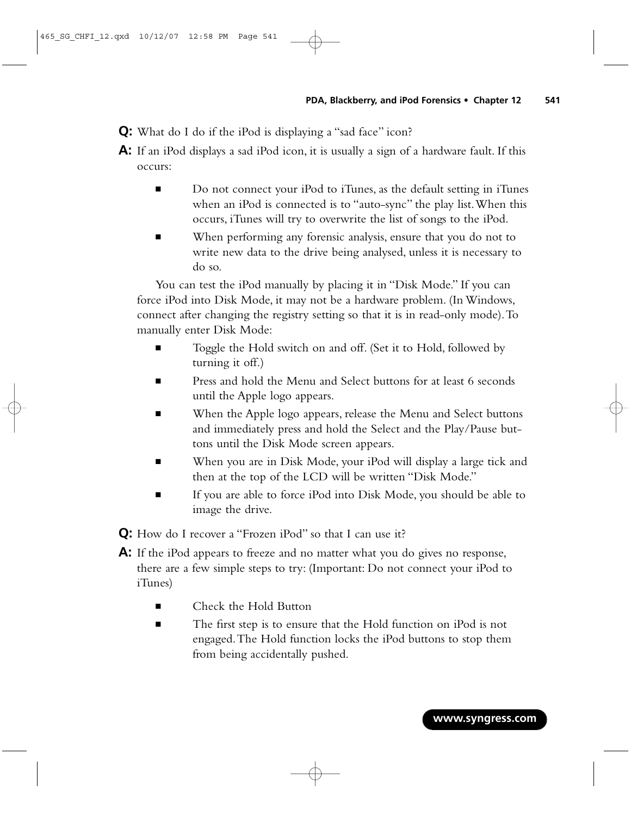**Q:** What do I do if the iPod is displaying a "sad face" icon?

- **A:** If an iPod displays a sad iPod icon, it is usually a sign of a hardware fault. If this occurs:
	- Do not connect your iPod to iTunes, as the default setting in iTunes when an iPod is connected is to "auto-sync" the play list.When this occurs, iTunes will try to overwrite the list of songs to the iPod.
	- When performing any forensic analysis, ensure that you do not to write new data to the drive being analysed, unless it is necessary to do so.

You can test the iPod manually by placing it in "Disk Mode." If you can force iPod into Disk Mode, it may not be a hardware problem. (In Windows, connect after changing the registry setting so that it is in read-only mode).To manually enter Disk Mode:

- Toggle the Hold switch on and off. (Set it to Hold, followed by turning it off.)
- Press and hold the Menu and Select buttons for at least 6 seconds until the Apple logo appears.
- When the Apple logo appears, release the Menu and Select buttons and immediately press and hold the Select and the Play/Pause buttons until the Disk Mode screen appears.
- When you are in Disk Mode, your iPod will display a large tick and then at the top of the LCD will be written "Disk Mode."
- If you are able to force iPod into Disk Mode, you should be able to image the drive.

**Q:** How do I recover a "Frozen iPod" so that I can use it?

- **A:** If the iPod appears to freeze and no matter what you do gives no response, there are a few simple steps to try: (Important: Do not connect your iPod to iTunes)
	- Check the Hold Button
	- The first step is to ensure that the Hold function on iPod is not engaged.The Hold function locks the iPod buttons to stop them from being accidentally pushed.